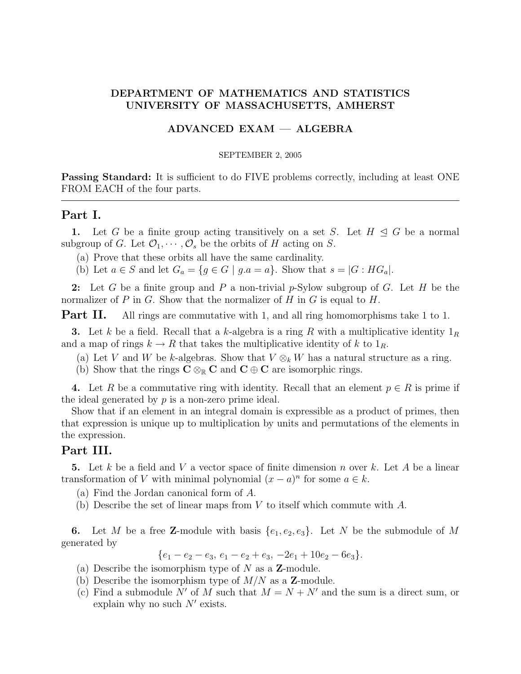### DEPARTMENT OF MATHEMATICS AND STATISTICS UNIVERSITY OF MASSACHUSETTS, AMHERST

#### ADVANCED EXAM — ALGEBRA

#### SEPTEMBER 2, 2005

**Passing Standard:** It is sufficient to do FIVE problems correctly, including at least ONE FROM EACH of the four parts.

#### Part I.

1. Let G be a finite group acting transitively on a set S. Let  $H \triangleleft G$  be a normal subgroup of G. Let  $\mathcal{O}_1, \cdots, \mathcal{O}_s$  be the orbits of H acting on S.

(a) Prove that these orbits all have the same cardinality.

(b) Let  $a \in S$  and let  $G_a = \{g \in G \mid g.a = a\}$ . Show that  $s = |G : HG_a|$ .

2: Let G be a finite group and P a non-trivial p-Sylow subgroup of G. Let H be the normalizer of P in G. Show that the normalizer of H in G is equal to H.

**Part II.** All rings are commutative with 1, and all ring homomorphisms take 1 to 1.

**3.** Let k be a field. Recall that a k-algebra is a ring R with a multiplicative identity  $1_R$ and a map of rings  $k \to R$  that takes the multiplicative identity of k to  $1_R$ .

(a) Let V and W be k-algebras. Show that  $V \otimes_k W$  has a natural structure as a ring.

(b) Show that the rings  $C \otimes_{\mathbb{R}} C$  and  $C \oplus C$  are isomorphic rings.

4. Let R be a commutative ring with identity. Recall that an element  $p \in R$  is prime if the ideal generated by  $p$  is a non-zero prime ideal.

Show that if an element in an integral domain is expressible as a product of primes, then that expression is unique up to multiplication by units and permutations of the elements in the expression.

## Part III.

5. Let k be a field and V a vector space of finite dimension n over k. Let A be a linear transformation of V with minimal polynomial  $(x - a)^n$  for some  $a \in k$ .

(a) Find the Jordan canonical form of A.

(b) Describe the set of linear maps from  $V$  to itself which commute with  $A$ .

6. Let M be a free Z-module with basis  $\{e_1, e_2, e_3\}$ . Let N be the submodule of M generated by

 ${e_1 - e_2 - e_3, e_1 - e_2 + e_3, -2e_1 + 10e_2 - 6e_3}.$ 

- (a) Describe the isomorphism type of  $N$  as a **Z**-module.
- (b) Describe the isomorphism type of  $M/N$  as a **Z**-module.
- (c) Find a submodule N' of M such that  $M = N + N'$  and the sum is a direct sum, or explain why no such  $N'$  exists.